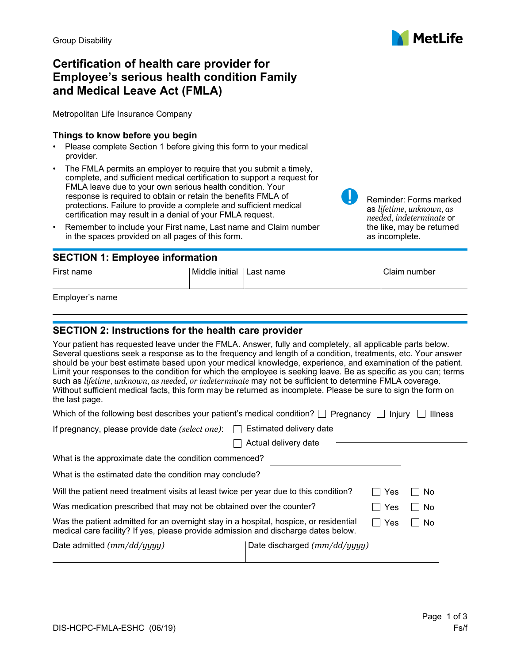# **Certification of health care provider for Employee's serious health condition Family and Medical Leave Act (FMLA)**

Metropolitan Life Insurance Company

### **Things to know before you begin**

- Please complete Section 1 before giving this form to your medical provider.
- The FMLA permits an employer to require that you submit a timely, complete, and sufficient medical certification to support a request for FMLA leave due to your own serious health condition. Your response is required to obtain or retain the benefits FMLA of protections. Failure to provide a complete and sufficient medical certification may result in a denial of your FMLA request.
- Remember to include your First name, Last name and Claim number in the spaces provided on all pages of this form.

## **SECTION 1: Employee information**

| First name | Middle initial Last name | Claim number |
|------------|--------------------------|--------------|
|            |                          |              |

Employer's name

# **SECTION 2: Instructions for the health care provider**

Your patient has requested leave under the FMLA. Answer, fully and completely, all applicable parts below. Several questions seek a response as to the frequency and length of a condition, treatments, etc. Your answer should be your best estimate based upon your medical knowledge, experience, and examination of the patient. Limit your responses to the condition for which the employee is seeking leave. Be as specific as you can; terms such as *lifetime*, *unknown*, *as needed*, *or indeterminate* may not be sufficient to determine FMLA coverage. Without sufficient medical facts, this form may be returned as incomplete. Please be sure to sign the form on the last page.

| Which of the following best describes your patient's medical condition? $\Box$ Pregnancy $\Box$ Injury $\Box$ Illness |  |
|-----------------------------------------------------------------------------------------------------------------------|--|
|-----------------------------------------------------------------------------------------------------------------------|--|

| If pregnancy, please provide date (select one): | $\Box$ Estimated delivery date |
|-------------------------------------------------|--------------------------------|
|-------------------------------------------------|--------------------------------|

| Actual delivery date |  |
|----------------------|--|

| What is the approximate date the condition commenced?                                                                                                                       |     |      |
|-----------------------------------------------------------------------------------------------------------------------------------------------------------------------------|-----|------|
| What is the estimated date the condition may conclude?                                                                                                                      |     |      |
| Will the patient need treatment visits at least twice per year due to this condition?                                                                                       | Yes | No   |
| Was medication prescribed that may not be obtained over the counter?                                                                                                        | Yes | No   |
| Was the patient admitted for an overnight stay in a hospital, hospice, or residential<br>medical care facility? If yes, please provide admission and discharge dates below. | Yes | - No |
| Date discharged (mm/dd/yyyy)                                                                                                                                                |     |      |
|                                                                                                                                                                             |     |      |

| <b>MetLife</b> |
|----------------|
|                |

Reminder: Forms marked as *lifetime*, *unknown*, *as needed*, *indeterminate* or the like, may be returned

as incomplete.

Page 1 of 3

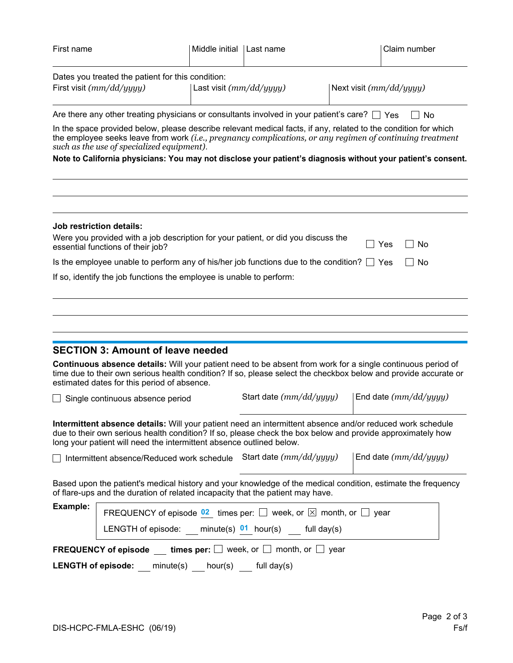| Dates you treated the patient for this condition:<br>First visit (mm/dd/yyyy)<br>Last visit $(mm/dd/yyyy)$<br>Next visit $(mm/dd/yyyy)$<br>Are there any other treating physicians or consultants involved in your patient's care? $\Box$ Yes<br>No<br>In the space provided below, please describe relevant medical facts, if any, related to the condition for which<br>the employee seeks leave from work (i.e., pregnancy complications, or any regimen of continuing treatment<br>such as the use of specialized equipment).<br>Note to California physicians: You may not disclose your patient's diagnosis without your patient's consent.<br><b>Job restriction details:</b><br>Were you provided with a job description for your patient, or did you discuss the<br>No<br>Yes<br>essential functions of their job?<br>Is the employee unable to perform any of his/her job functions due to the condition? $\Box$ Yes<br><b>No</b><br>If so, identify the job functions the employee is unable to perform:<br><b>SECTION 3: Amount of leave needed</b><br>Continuous absence details: Will your patient need to be absent from work for a single continuous period of<br>time due to their own serious health condition? If so, please select the checkbox below and provide accurate or<br>estimated dates for this period of absence.<br>Start date (mm/dd/yyyy)<br>End date $(mm/dd/yyyy)$<br>Single continuous absence period<br>Intermittent absence details: Will your patient need an intermittent absence and/or reduced work schedule<br>due to their own serious health condition? If so, please check the box below and provide approximately how<br>long your patient will need the intermittent absence outlined below.<br>Start date (mm/dd/yyyy)<br>End date $(mm/dd/yyyy)$<br>Intermittent absence/Reduced work schedule<br>Based upon the patient's medical history and your knowledge of the medical condition, estimate the frequency<br>of flare-ups and the duration of related incapacity that the patient may have.<br>Example:<br>FREQUENCY of episode $02$ times per: $\Box$ week, or $\boxtimes$ month, or $\Box$ year<br>LENGTH of episode: $minute(s)$ 01 hour(s) full day(s) | First name | Middle initial | Last name | Claim number |
|--------------------------------------------------------------------------------------------------------------------------------------------------------------------------------------------------------------------------------------------------------------------------------------------------------------------------------------------------------------------------------------------------------------------------------------------------------------------------------------------------------------------------------------------------------------------------------------------------------------------------------------------------------------------------------------------------------------------------------------------------------------------------------------------------------------------------------------------------------------------------------------------------------------------------------------------------------------------------------------------------------------------------------------------------------------------------------------------------------------------------------------------------------------------------------------------------------------------------------------------------------------------------------------------------------------------------------------------------------------------------------------------------------------------------------------------------------------------------------------------------------------------------------------------------------------------------------------------------------------------------------------------------------------------------------------------------------------------------------------------------------------------------------------------------------------------------------------------------------------------------------------------------------------------------------------------------------------------------------------------------------------------------------------------------------------------------------------------------------------------------------------------------------------------------------------------------------------------|------------|----------------|-----------|--------------|
|                                                                                                                                                                                                                                                                                                                                                                                                                                                                                                                                                                                                                                                                                                                                                                                                                                                                                                                                                                                                                                                                                                                                                                                                                                                                                                                                                                                                                                                                                                                                                                                                                                                                                                                                                                                                                                                                                                                                                                                                                                                                                                                                                                                                                    |            |                |           |              |
|                                                                                                                                                                                                                                                                                                                                                                                                                                                                                                                                                                                                                                                                                                                                                                                                                                                                                                                                                                                                                                                                                                                                                                                                                                                                                                                                                                                                                                                                                                                                                                                                                                                                                                                                                                                                                                                                                                                                                                                                                                                                                                                                                                                                                    |            |                |           |              |
|                                                                                                                                                                                                                                                                                                                                                                                                                                                                                                                                                                                                                                                                                                                                                                                                                                                                                                                                                                                                                                                                                                                                                                                                                                                                                                                                                                                                                                                                                                                                                                                                                                                                                                                                                                                                                                                                                                                                                                                                                                                                                                                                                                                                                    |            |                |           |              |
|                                                                                                                                                                                                                                                                                                                                                                                                                                                                                                                                                                                                                                                                                                                                                                                                                                                                                                                                                                                                                                                                                                                                                                                                                                                                                                                                                                                                                                                                                                                                                                                                                                                                                                                                                                                                                                                                                                                                                                                                                                                                                                                                                                                                                    |            |                |           |              |
|                                                                                                                                                                                                                                                                                                                                                                                                                                                                                                                                                                                                                                                                                                                                                                                                                                                                                                                                                                                                                                                                                                                                                                                                                                                                                                                                                                                                                                                                                                                                                                                                                                                                                                                                                                                                                                                                                                                                                                                                                                                                                                                                                                                                                    |            |                |           |              |
|                                                                                                                                                                                                                                                                                                                                                                                                                                                                                                                                                                                                                                                                                                                                                                                                                                                                                                                                                                                                                                                                                                                                                                                                                                                                                                                                                                                                                                                                                                                                                                                                                                                                                                                                                                                                                                                                                                                                                                                                                                                                                                                                                                                                                    |            |                |           |              |
|                                                                                                                                                                                                                                                                                                                                                                                                                                                                                                                                                                                                                                                                                                                                                                                                                                                                                                                                                                                                                                                                                                                                                                                                                                                                                                                                                                                                                                                                                                                                                                                                                                                                                                                                                                                                                                                                                                                                                                                                                                                                                                                                                                                                                    |            |                |           |              |
|                                                                                                                                                                                                                                                                                                                                                                                                                                                                                                                                                                                                                                                                                                                                                                                                                                                                                                                                                                                                                                                                                                                                                                                                                                                                                                                                                                                                                                                                                                                                                                                                                                                                                                                                                                                                                                                                                                                                                                                                                                                                                                                                                                                                                    |            |                |           |              |
|                                                                                                                                                                                                                                                                                                                                                                                                                                                                                                                                                                                                                                                                                                                                                                                                                                                                                                                                                                                                                                                                                                                                                                                                                                                                                                                                                                                                                                                                                                                                                                                                                                                                                                                                                                                                                                                                                                                                                                                                                                                                                                                                                                                                                    |            |                |           |              |
|                                                                                                                                                                                                                                                                                                                                                                                                                                                                                                                                                                                                                                                                                                                                                                                                                                                                                                                                                                                                                                                                                                                                                                                                                                                                                                                                                                                                                                                                                                                                                                                                                                                                                                                                                                                                                                                                                                                                                                                                                                                                                                                                                                                                                    |            |                |           |              |
|                                                                                                                                                                                                                                                                                                                                                                                                                                                                                                                                                                                                                                                                                                                                                                                                                                                                                                                                                                                                                                                                                                                                                                                                                                                                                                                                                                                                                                                                                                                                                                                                                                                                                                                                                                                                                                                                                                                                                                                                                                                                                                                                                                                                                    |            |                |           |              |
|                                                                                                                                                                                                                                                                                                                                                                                                                                                                                                                                                                                                                                                                                                                                                                                                                                                                                                                                                                                                                                                                                                                                                                                                                                                                                                                                                                                                                                                                                                                                                                                                                                                                                                                                                                                                                                                                                                                                                                                                                                                                                                                                                                                                                    |            |                |           |              |
|                                                                                                                                                                                                                                                                                                                                                                                                                                                                                                                                                                                                                                                                                                                                                                                                                                                                                                                                                                                                                                                                                                                                                                                                                                                                                                                                                                                                                                                                                                                                                                                                                                                                                                                                                                                                                                                                                                                                                                                                                                                                                                                                                                                                                    |            |                |           |              |
|                                                                                                                                                                                                                                                                                                                                                                                                                                                                                                                                                                                                                                                                                                                                                                                                                                                                                                                                                                                                                                                                                                                                                                                                                                                                                                                                                                                                                                                                                                                                                                                                                                                                                                                                                                                                                                                                                                                                                                                                                                                                                                                                                                                                                    |            |                |           |              |
|                                                                                                                                                                                                                                                                                                                                                                                                                                                                                                                                                                                                                                                                                                                                                                                                                                                                                                                                                                                                                                                                                                                                                                                                                                                                                                                                                                                                                                                                                                                                                                                                                                                                                                                                                                                                                                                                                                                                                                                                                                                                                                                                                                                                                    |            |                |           |              |
| <b>FREQUENCY of episode</b> times per: $\Box$ week, or $\Box$ month, or $\Box$ year                                                                                                                                                                                                                                                                                                                                                                                                                                                                                                                                                                                                                                                                                                                                                                                                                                                                                                                                                                                                                                                                                                                                                                                                                                                                                                                                                                                                                                                                                                                                                                                                                                                                                                                                                                                                                                                                                                                                                                                                                                                                                                                                |            |                |           |              |
| <b>LENGTH of episode:</b> $minute(s)$ hour(s) full day(s)                                                                                                                                                                                                                                                                                                                                                                                                                                                                                                                                                                                                                                                                                                                                                                                                                                                                                                                                                                                                                                                                                                                                                                                                                                                                                                                                                                                                                                                                                                                                                                                                                                                                                                                                                                                                                                                                                                                                                                                                                                                                                                                                                          |            |                |           |              |
|                                                                                                                                                                                                                                                                                                                                                                                                                                                                                                                                                                                                                                                                                                                                                                                                                                                                                                                                                                                                                                                                                                                                                                                                                                                                                                                                                                                                                                                                                                                                                                                                                                                                                                                                                                                                                                                                                                                                                                                                                                                                                                                                                                                                                    |            |                |           |              |
|                                                                                                                                                                                                                                                                                                                                                                                                                                                                                                                                                                                                                                                                                                                                                                                                                                                                                                                                                                                                                                                                                                                                                                                                                                                                                                                                                                                                                                                                                                                                                                                                                                                                                                                                                                                                                                                                                                                                                                                                                                                                                                                                                                                                                    |            |                |           |              |